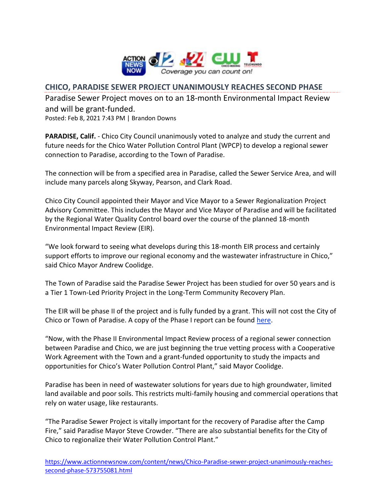

## **CHICO, PARADISE SEWER PROJECT UNANIMOUSLY REACHES SECOND PHASE**

Paradise Sewer Project moves on to an 18-month Environmental Impact Review and will be grant-funded.

Posted: Feb 8, 2021 7:43 PM | Brandon Downs

**PARADISE, Calif.** - Chico City Council unanimously voted to analyze and study the current and future needs for the Chico Water Pollution Control Plant (WPCP) to develop a regional sewer connection to Paradise, according to the Town of Paradise.

The connection will be from a specified area in Paradise, called the Sewer Service Area, and will include many parcels along Skyway, Pearson, and Clark Road.

Chico City Council appointed their Mayor and Vice Mayor to a Sewer Regionalization Project Advisory Committee. This includes the Mayor and Vice Mayor of Paradise and will be facilitated by the Regional Water Quality Control board over the course of the planned 18-month Environmental Impact Review (EIR).

"We look forward to seeing what develops during this 18-month EIR process and certainly support efforts to improve our regional economy and the wastewater infrastructure in Chico," said Chico Mayor Andrew Coolidge.

The Town of Paradise said the Paradise Sewer Project has been studied for over 50 years and is a Tier 1 Town-Led Priority Project in the Long-Term Community Recovery Plan.

The EIR will be phase II of the project and is fully funded by a grant. This will not cost the City of Chico or Town of Paradise. A copy of the Phase I report can be found [here.](https://www.townofparadise.com/index.php/17-news-events/333-paradise-sewer-project-phase-1-report)

"Now, with the Phase II Environmental Impact Review process of a regional sewer connection between Paradise and Chico, we are just beginning the true vetting process with a Cooperative Work Agreement with the Town and a grant-funded opportunity to study the impacts and opportunities for Chico's Water Pollution Control Plant," said Mayor Coolidge.

Paradise has been in need of wastewater solutions for years due to high groundwater, limited land available and poor soils. This restricts multi-family housing and commercial operations that rely on water usage, like restaurants.

"The Paradise Sewer Project is vitally important for the recovery of Paradise after the Camp Fire," said Paradise Mayor Steve Crowder. "There are also substantial benefits for the City of Chico to regionalize their Water Pollution Control Plant."